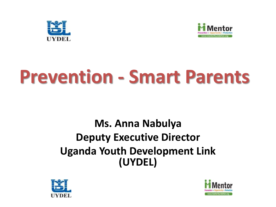



# **Prevention - Smart Parents**

#### **Ms. Anna Nabulya Deputy Executive Director Uganda Youth Development Link (UYDEL)**



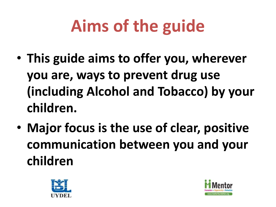# **Aims of the guide**

- **This guide aims to offer you, wherever you are, ways to prevent drug use (including Alcohol and Tobacco) by your children.**
- **Major focus is the use of clear, positive communication between you and your children**



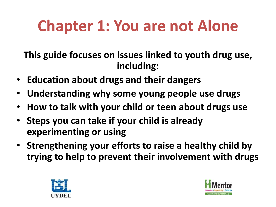## **Chapter 1: You are not Alone**

**This guide focuses on issues linked to youth drug use, including:**

- **Education about drugs and their dangers**
- **Understanding why some young people use drugs**
- **How to talk with your child or teen about drugs use**
- **Steps you can take if your child is already experimenting or using**
- **Strengthening your efforts to raise a healthy child by trying to help to prevent their involvement with drugs**



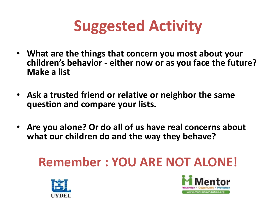

- **What are the things that concern you most about your children's behavior - either now or as you face the future? Make a list**
- **Ask a trusted friend or relative or neighbor the same question and compare your lists.**
- **Are you alone? Or do all of us have real concerns about what our children do and the way they behave?**

#### **Remember : YOU ARE NOT ALONE!**



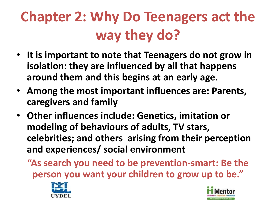#### **Chapter 2: Why Do Teenagers act the way they do?**

- **It is important to note that Teenagers do not grow in isolation: they are influenced by all that happens around them and this begins at an early age.**
- **Among the most important influences are: Parents, caregivers and family**
- **Other influences include: Genetics, imitation or modeling of behaviours of adults, TV stars, celebrities; and others arising from their perception and experiences/ social environment**
	- **"As search you need to be prevention-smart: Be the person you want your children to grow up to be."**



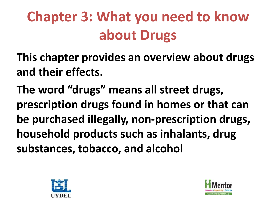### **Chapter 3: What you need to know about Drugs**

**This chapter provides an overview about drugs and their effects.**

**The word "drugs" means all street drugs, prescription drugs found in homes or that can be purchased illegally, non-prescription drugs, household products such as inhalants, drug substances, tobacco, and alcohol**



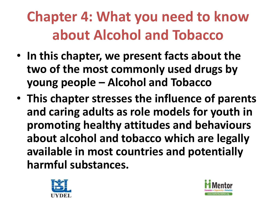#### **Chapter 4: What you need to know about Alcohol and Tobacco**

- **In this chapter, we present facts about the two of the most commonly used drugs by young people – Alcohol and Tobacco**
- **This chapter stresses the influence of parents and caring adults as role models for youth in promoting healthy attitudes and behaviours about alcohol and tobacco which are legally available in most countries and potentially harmful substances.**



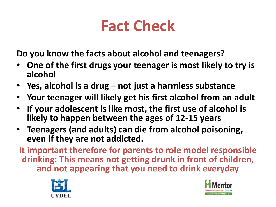#### **Fact Check**

**Do you know the facts about alcohol and teenagers?**

- **One of the first drugs your teenager is most likely to try is alcohol**
- **Yes, alcohol is a drug – not just a harmless substance**
- **Your teenager will likely get his first alcohol from an adult**
- **If your adolescent is like most, the first use of alcohol is likely to happen between the ages of 12-15 years**
- **Teenagers (and adults) can die from alcohol poisoning, even if they are not addicted.**

**It important therefore for parents to role model responsible drinking: This means not getting drunk in front of children, and not appearing that you need to drink everyday** 



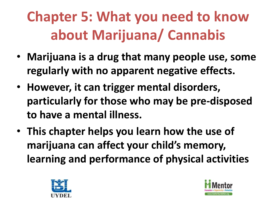#### **Chapter 5: What you need to know about Marijuana/ Cannabis**

- **Marijuana is a drug that many people use, some regularly with no apparent negative effects.**
- **However, it can trigger mental disorders, particularly for those who may be pre-disposed to have a mental illness.**
- **This chapter helps you learn how the use of marijuana can affect your child's memory, learning and performance of physical activities**



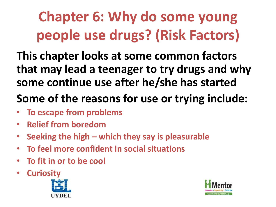### **Chapter 6: Why do some young people use drugs? (Risk Factors)**

**This chapter looks at some common factors that may lead a teenager to try drugs and why some continue use after he/she has started**

#### **Some of the reasons for use or trying include:**

- **To escape from problems**
- **Relief from boredom**
- **Seeking the high – which they say is pleasurable**
- **To feel more confident in social situations**
- **To fit in or to be cool**
- **Curiosity**



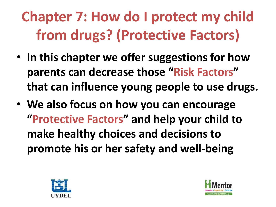## **Chapter 7: How do I protect my child from drugs? (Protective Factors)**

- **In this chapter we offer suggestions for how parents can decrease those "Risk Factors" that can influence young people to use drugs.**
- **We also focus on how you can encourage "Protective Factors" and help your child to make healthy choices and decisions to promote his or her safety and well-being**



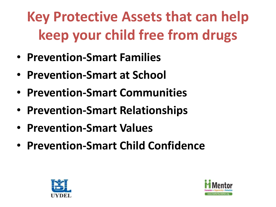### **Key Protective Assets that can help keep your child free from drugs**

- **Prevention-Smart Families**
- **Prevention-Smart at School**
- **Prevention-Smart Communities**
- **Prevention-Smart Relationships**
- **Prevention-Smart Values**
- **Prevention-Smart Child Confidence**



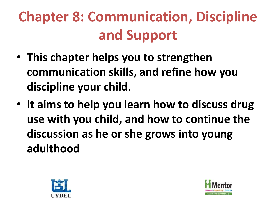## **Chapter 8: Communication, Discipline and Support**

- **This chapter helps you to strengthen communication skills, and refine how you discipline your child.**
- **It aims to help you learn how to discuss drug use with you child, and how to continue the discussion as he or she grows into young adulthood**



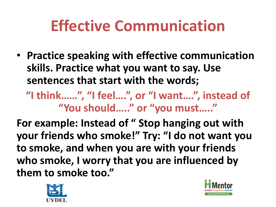#### **Effective Communication**

• **Practice speaking with effective communication skills. Practice what you want to say. Use sentences that start with the words;**

**"I think……", "I feel….", or "I want….", instead of "You should….." or "you must….."**

**For example: Instead of " Stop hanging out with your friends who smoke!" Try: "I do not want you to smoke, and when you are with your friends who smoke, I worry that you are influenced by them to smoke too."**



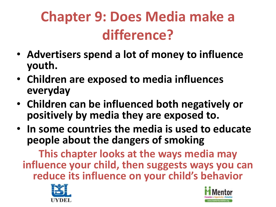#### **Chapter 9: Does Media make a difference?**

- **Advertisers spend a lot of money to influence youth.**
- **Children are exposed to media influences everyday**
- **Children can be influenced both negatively or positively by media they are exposed to.**
- **In some countries the media is used to educate people about the dangers of smoking**

**This chapter looks at the ways media may influence your child, then suggests ways you can reduce its influence on your child's behavior**



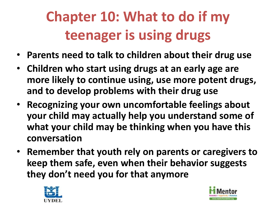## **Chapter 10: What to do if my teenager is using drugs**

- **Parents need to talk to children about their drug use**
- **Children who start using drugs at an early age are more likely to continue using, use more potent drugs, and to develop problems with their drug use**
- **Recognizing your own uncomfortable feelings about your child may actually help you understand some of what your child may be thinking when you have this conversation**
- **Remember that youth rely on parents or caregivers to keep them safe, even when their behavior suggests they don't need you for that anymore**



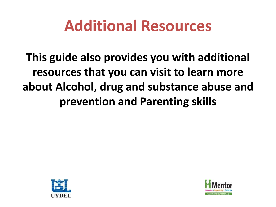#### **Additional Resources**

**This guide also provides you with additional resources that you can visit to learn more about Alcohol, drug and substance abuse and prevention and Parenting skills**